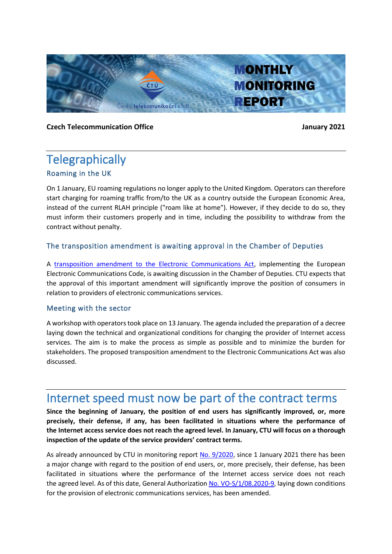

**Czech Telecommunication Office** *Czech* **Telecommunication Office** January 2021

### **Telegraphically** Roaming in the UK

On 1 January, EU roaming regulations no longer apply to the United Kingdom. Operators can therefore start charging for roaming traffic from/to the UK as a country outside the European Economic Area, instead of the current RLAH principle ("roam like at home"). However, if they decide to do so, they must inform their customers properly and in time, including the possibility to withdraw from the contract without penalty.

#### The transposition amendment is awaiting approval in the Chamber of Deputies

A [transposition amendment to the Electronic Communications Act,](https://public.psp.cz/en/sqw/text/tiskt.sqw?ct=1084&ct1=0&o=8) implementing the European Electronic Communications Code, is awaiting discussion in the Chamber of Deputies. CTU expects that the approval of this important amendment will significantly improve the position of consumers in relation to providers of electronic communications services.

#### Meeting with the sector

A workshop with operators took place on 13 January. The agenda included the preparation of a decree laying down the technical and organizational conditions for changing the provider of Internet access services. The aim is to make the process as simple as possible and to minimize the burden for stakeholders. The proposed transposition amendment to the Electronic Communications Act was also discussed.

### Internet speed must now be part of the contract terms

**Since the beginning of January, the position of end users has significantly improved, or, more precisely, their defense, if any, has been facilitated in situations where the performance of the Internet access service does not reach the agreed level. In January, CTU will focus on a thorough inspection of the update of the service providers' contract terms.**

As already announced by CTU in monitoring report [No. 9/2020,](https://www.ctu.eu/sites/default/files/obsah/ctu/monthly-monitoring-report-no.9/2020/obrazky/monthlymonitoringreportno.092020.pdf) since 1 January 2021 there has been a major change with regard to the position of end users, or, more precisely, their defense, has been facilitated in situations where the performance of the Internet access service does not reach the agreed level. As of this date, General Authorization [No. VO-S/1/08.2020-9,](https://www.ctu.cz/sites/default/files/obsah/ctu/telekomunikacni-vestnik-castka-09/2020/obrazky/telekomunikacnivestnikcastka09.pdf) laying down conditions for the provision of electronic communications services, has been amended.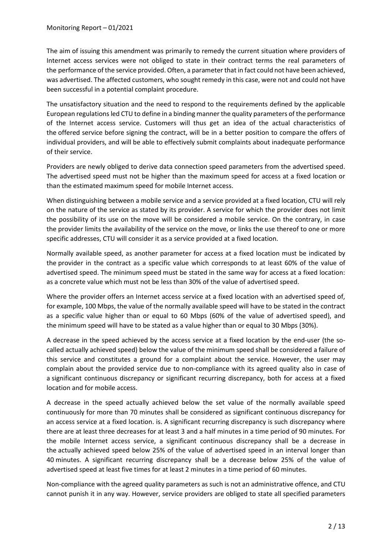The aim of issuing this amendment was primarily to remedy the current situation where providers of Internet access services were not obliged to state in their contract terms the real parameters of the performance of the service provided. Often, a parameter that in fact could not have been achieved, was advertised. The affected customers, who sought remedy in this case, were not and could not have been successful in a potential complaint procedure.

The unsatisfactory situation and the need to respond to the requirements defined by the applicable European regulations led CTU to define in a binding manner the quality parameters of the performance of the Internet access service. Customers will thus get an idea of the actual characteristics of the offered service before signing the contract, will be in a better position to compare the offers of individual providers, and will be able to effectively submit complaints about inadequate performance of their service.

Providers are newly obliged to derive data connection speed parameters from the advertised speed. The advertised speed must not be higher than the maximum speed for access at a fixed location or than the estimated maximum speed for mobile Internet access.

When distinguishing between a mobile service and a service provided at a fixed location, CTU will rely on the nature of the service as stated by its provider. A service for which the provider does not limit the possibility of its use on the move will be considered a mobile service. On the contrary, in case the provider limits the availability of the service on the move, or links the use thereof to one or more specific addresses, CTU will consider it as a service provided at a fixed location.

Normally available speed, as another parameter for access at a fixed location must be indicated by the provider in the contract as a specific value which corresponds to at least 60% of the value of advertised speed. The minimum speed must be stated in the same way for access at a fixed location: as a concrete value which must not be less than 30% of the value of advertised speed.

Where the provider offers an Internet access service at a fixed location with an advertised speed of, for example, 100 Mbps, the value of the normally available speed will have to be stated in the contract as a specific value higher than or equal to 60 Mbps (60% of the value of advertised speed), and the minimum speed will have to be stated as a value higher than or equal to 30 Mbps (30%).

A decrease in the speed achieved by the access service at a fixed location by the end-user (the socalled actually achieved speed) below the value of the minimum speed shall be considered a failure of this service and constitutes a ground for a complaint about the service. However, the user may complain about the provided service due to non-compliance with its agreed quality also in case of a significant continuous discrepancy or significant recurring discrepancy, both for access at a fixed location and for mobile access.

A decrease in the speed actually achieved below the set value of the normally available speed continuously for more than 70 minutes shall be considered as significant continuous discrepancy for an access service at a fixed location. is. A significant recurring discrepancy is such discrepancy where there are at least three decreases for at least 3 and a half minutes in a time period of 90 minutes. For the mobile Internet access service, a significant continuous discrepancy shall be a decrease in the actually achieved speed below 25% of the value of advertised speed in an interval longer than 40 minutes. A significant recurring discrepancy shall be a decrease below 25% of the value of advertised speed at least five times for at least 2 minutes in a time period of 60 minutes.

Non-compliance with the agreed quality parameters as such is not an administrative offence, and CTU cannot punish it in any way. However, service providers are obliged to state all specified parameters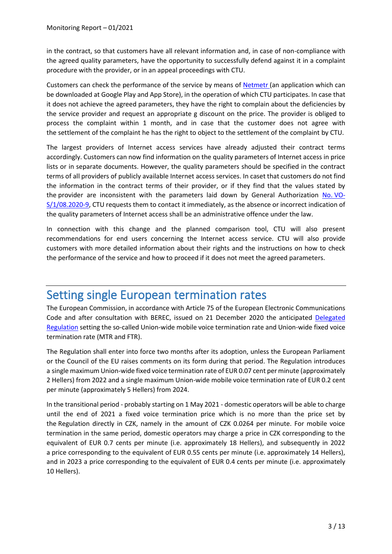in the contract, so that customers have all relevant information and, in case of non-compliance with the agreed quality parameters, have the opportunity to successfully defend against it in a complaint procedure with the provider, or in an appeal proceedings with CTU.

Customers can check the performance of the service by means of [Netmetr](https://websites.pages.nic.cz/netmetr.cz/en/) (an application which can be downloaded at Google Play and App Store), in the operation of which CTU participates. In case that it does not achieve the agreed parameters, they have the right to complain about the deficiencies by the service provider and request an appropriate g discount on the price. The provider is obliged to process the complaint within 1 month, and in case that the customer does not agree with the settlement of the complaint he has the right to object to the settlement of the complaint by CTU.

The largest providers of Internet access services have already adjusted their contract terms accordingly. Customers can now find information on the quality parameters of Internet access in price lists or in separate documents. However, the quality parameters should be specified in the contract terms of all providers of publicly available Internet access services. In caset that customers do not find the information in the contract terms of their provider, or if they find that the values stated by the provider are inconsistent with the parameters laid down by General Authorization [No.](https://www.ctu.cz/sites/default/files/obsah/stranky/36864/soubory/vos1final.pdf) VO-[S/1/08.2020-9,](https://www.ctu.cz/sites/default/files/obsah/stranky/36864/soubory/vos1final.pdf) CTU requests them to contact it immediately, as the absence or incorrect indication of the quality parameters of Internet access shall be an administrative offence under the law.

In connection with this change and the planned comparison tool, CTU will also present recommendations for end users concerning the Internet access service. CTU will also provide customers with more detailed information about their rights and the instructions on how to check the performance of the service and how to proceed if it does not meet the agreed parameters.

## Setting single European termination rates

The European Commission, in accordance with Article 75 of the European Electronic Communications Code and after consultation with BEREC, issued on 21 December 2020 the anticipated Delegated [Regulation](https://eur-lex.europa.eu/legal-content/EN/TXT/HTML/?uri=PI_COM:C(2020)8703&from=en) setting the so-called Union-wide mobile voice termination rate and Union-wide fixed voice termination rate (MTR and FTR).

The Regulation shall enter into force two months after its adoption, unless the European Parliament or the Council of the EU raises comments on its form during that period. The Regulation introduces a single maximum Union-wide fixed voice termination rate of EUR 0.07 cent per minute (approximately 2 Hellers) from 2022 and a single maximum Union-wide mobile voice termination rate of EUR 0.2 cent per minute (approximately 5 Hellers) from 2024.

In the transitional period - probably starting on 1 May 2021 - domestic operators will be able to charge until the end of 2021 a fixed voice termination price which is no more than the price set by the Regulation directly in CZK, namely in the amount of CZK 0.0264 per minute. For mobile voice termination in the same period, domestic operators may charge a price in CZK corresponding to the equivalent of EUR 0.7 cents per minute (i.e. approximately 18 Hellers), and subsequently in 2022 a price corresponding to the equivalent of EUR 0.55 cents per minute (i.e. approximately 14 Hellers), and in 2023 a price corresponding to the equivalent of EUR 0.4 cents per minute (i.e. approximately 10 Hellers).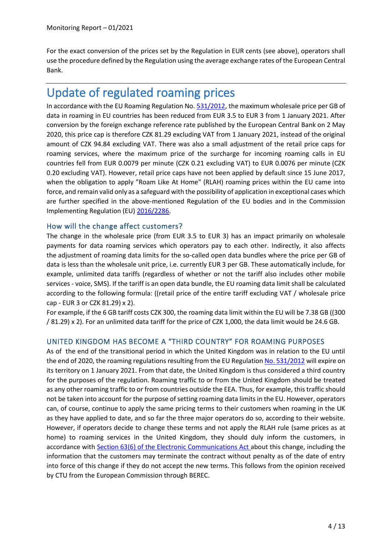For the exact conversion of the prices set by the Regulation in EUR cents (see above), operators shall use the procedure defined by the Regulation using the average exchange rates of the European Central Bank.

## Update of regulated roaming prices

In accordance with the EU Roaming Regulation No. [531/2012,](https://eur-lex.europa.eu/legal-content/EN/TXT/HTML/?uri=CELEX:02012R0531-20170615&from=EN) the maximum wholesale price per GB of data in roaming in EU countries has been reduced from EUR 3.5 to EUR 3 from 1 January 2021. After conversion by the foreign exchange reference rate published by the European Central Bank on 2 May 2020, this price cap is therefore CZK 81.29 excluding VAT from 1 January 2021, instead of the original amount of CZK 94.84 excluding VAT. There was also a small adjustment of the retail price caps for roaming services, where the maximum price of the surcharge for incoming roaming calls in EU countries fell from EUR 0.0079 per minute (CZK 0.21 excluding VAT) to EUR 0.0076 per minute (CZK 0.20 excluding VAT). However, retail price caps have not been applied by default since 15 June 2017, when the obligation to apply "Roam Like At Home" (RLAH) roaming prices within the EU came into force, and remain valid only as a safeguard with the possibility of application in exceptional cases which are further specified in the above-mentioned Regulation of the EU bodies and in the Commission Implementing Regulation (EU) [2016/2286.](https://eur-lex.europa.eu/legal-content/EN/TXT/HTML/?uri=CELEX:32016R2286&from=EN)

#### How will the change affect customers?

The change in the wholesale price (from EUR 3.5 to EUR 3) has an impact primarily on wholesale payments for data roaming services which operators pay to each other. Indirectly, it also affects the adjustment of roaming data limits for the so-called open data bundles where the price per GB of data is less than the wholesale unit price, i.e. currently EUR 3 per GB. These automatically include, for example, unlimited data tariffs (regardless of whether or not the tariff also includes other mobile services - voice, SMS). If the tariff is an open data bundle, the EU roaming data limit shall be calculated according to the following formula: ((retail price of the entire tariff excluding VAT / wholesale price cap - EUR 3 or CZK 81.29) x 2).

For example, if the 6 GB tariff costs CZK 300, the roaming data limit within the EU will be 7.38 GB ((300 / 81.29) x 2). For an unlimited data tariff for the price of CZK 1,000, the data limit would be 24.6 GB.

#### UNITED KINGDOM HAS BECOME A "THIRD COUNTRY" FOR ROAMING PURPOSES

As of the end of the transitional period in which the United Kingdom was in relation to the EU until the end of 2020, the roaming regulations resulting from the EU Regulation [No. 531/2012](https://eur-lex.europa.eu/legal-content/EN/TXT/HTML/?uri=CELEX:02012R0531-20170615&from=EN) will expire on its territory on 1 January 2021. From that date, the United Kingdom is thus considered a third country for the purposes of the regulation. Roaming traffic to or from the United Kingdom should be treated as any other roaming traffic to or from countries outside the EEA. Thus, for example, this traffic should not be taken into account for the purpose of setting roaming data limits in the EU. However, operators can, of course, continue to apply the same pricing terms to their customers when roaming in the UK as they have applied to date, and so far the three major operators do so, according to their website. However, if operators decide to change these terms and not apply the RLAH rule (same prices as at home) to roaming services in the United Kingdom, they should duly inform the customers, in accordance with Section [63\(6\) of the Electronic Communications Act](https://www.zakonyprolidi.cz/cs/2005-127#p63-6) about this change, including the information that the customers may terminate the contract without penalty as of the date of entry into force of this change if they do not accept the new terms. This follows from the opinion received by CTU from the European Commission through BEREC.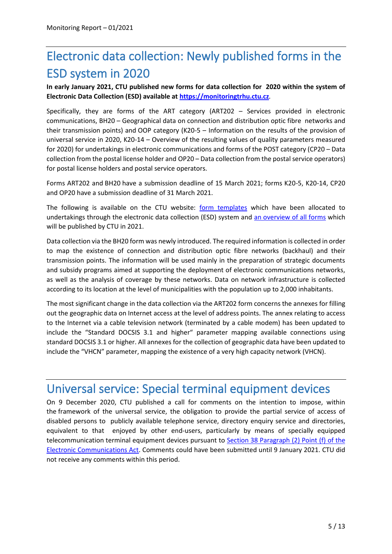# Electronic data collection: Newly published forms in the ESD system in 2020

**In early January 2021, CTU published new forms for data collection for 2020 within the system of Electronic Data Collection (ESD) available at [https://monitoringtrhu.ctu.cz](https://monitoringtrhu.ctu.cz/)***.*

Specifically, they are forms of the ART category (ART202 – Services provided in electronic communications, BH20 – Geographical data on connection and distribution optic fibre networks and their transmission points) and OOP category (K20-5 – Information on the results of the provision of universal service in 2020, K20-14 – Overview of the resulting values of quality parameters measured for 2020) for undertakings in electronic communications and forms of the POST category (CP20 – Data collection from the postal license holder and OP20 – Data collection from the postal service operators) for postal license holders and postal service operators.

Forms ART202 and BH20 have a submission deadline of 15 March 2021; forms K20-5, K20-14, CP20 and OP20 have a submission deadline of 31 March 2021.

The following is available on the CTU website: [form templates](https://www.ctu.cz/vzory-formularu-pro-esd-2020) which have been allocated to undertakings through the electronic data collection (ESD) system and [an overview of all forms](https://www.ctu.cz/sites/default/files/obsah/program_zjistovani_ctu_v_roce_2021.pdf) which will be published by CTU in 2021.

Data collection via the BH20 form was newly introduced. The required information is collected in order to map the existence of connection and distribution optic fibre networks (backhaul) and their transmission points. The information will be used mainly in the preparation of strategic documents and subsidy programs aimed at supporting the deployment of electronic communications networks, as well as the analysis of coverage by these networks. Data on network infrastructure is collected according to its location at the level of municipalities with the population up to 2,000 inhabitants.

The most significant change in the data collection via the ART202 form concerns the annexes for filling out the geographic data on Internet access at the level of address points. The annex relating to access to the Internet via a cable television network (terminated by a cable modem) has been updated to include the "Standard DOCSIS 3.1 and higher" parameter mapping available connections using standard DOCSIS 3.1 or higher. All annexes for the collection of geographic data have been updated to include the "VHCN" parameter, mapping the existence of a very high capacity network (VHCN).

## Universal service: Special terminal equipment devices

On 9 December 2020, CTU published a call for comments on the intention to impose, within the framework of the universal service, the obligation to provide the partial service of access of disabled persons to publicly available telephone service, directory enquiry service and directories, equivalent to that enjoyed by other end-users, particularly by means of specially equipped telecommunication terminal equipment devices pursuant to Section 38 Paragraph (2) [Point \(f\) of the](https://www.zakonyprolidi.cz/cs/2005-127#p38-2-f)  [Electronic Communications Act.](https://www.zakonyprolidi.cz/cs/2005-127#p38-2-f) Comments could have been submitted until 9 January 2021. CTU did not receive any comments within this period.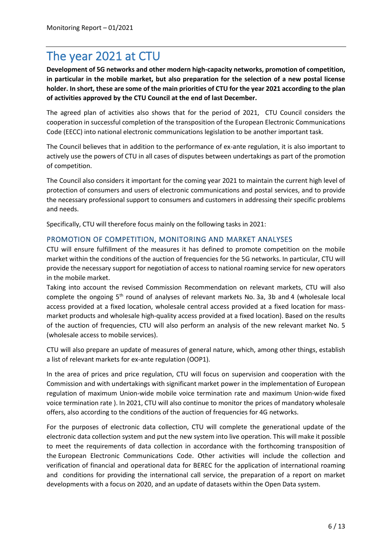## The year 2021 at CTU

**Development of 5G networks and other modern high-capacity networks, promotion of competition, in particular in the mobile market, but also preparation for the selection of a new postal license holder. In short, these are some of the main priorities of CTU for the year 2021 according to the plan of activities approved by the CTU Council at the end of last December.**

The agreed plan of activities also shows that for the period of 2021, CTU Council considers the cooperation in successful completion of the transposition of the European Electronic Communications Code (EECC) into national electronic communications legislation to be another important task.

The Council believes that in addition to the performance of ex-ante regulation, it is also important to actively use the powers of CTU in all cases of disputes between undertakings as part of the promotion of competition.

The Council also considers it important for the coming year 2021 to maintain the current high level of protection of consumers and users of electronic communications and postal services, and to provide the necessary professional support to consumers and customers in addressing their specific problems and needs.

Specifically, CTU will therefore focus mainly on the following tasks in 2021:

#### PROMOTION OF COMPETITION, MONITORING AND MARKET ANALYSES

CTU will ensure fulfillment of the measures it has defined to promote competition on the mobile market within the conditions of the auction of frequencies for the 5G networks. In particular, CTU will provide the necessary support for negotiation of access to national roaming service for new operators in the mobile market.

Taking into account the revised Commission Recommendation on relevant markets, CTU will also complete the ongoing 5th round of analyses of relevant markets No. 3a, 3b and 4 (wholesale local access provided at a fixed location, wholesale central access provided at a fixed location for massmarket products and wholesale high-quality access provided at a fixed location). Based on the results of the auction of frequencies, CTU will also perform an analysis of the new relevant market No. 5 (wholesale access to mobile services).

CTU will also prepare an update of measures of general nature, which, among other things, establish a list of relevant markets for ex-ante regulation (OOP1).

In the area of prices and price regulation, CTU will focus on supervision and cooperation with the Commission and with undertakings with significant market power in the implementation of European regulation of maximum Union-wide mobile voice termination rate and maximum Union-wide fixed voice termination rate ). In 2021, CTU will also continue to monitor the prices of mandatory wholesale offers, also according to the conditions of the auction of frequencies for 4G networks.

For the purposes of electronic data collection, CTU will complete the generational update of the electronic data collection system and put the new system into live operation. This will make it possible to meet the requirements of data collection in accordance with the forthcoming transposition of the European Electronic Communications Code. Other activities will include the collection and verification of financial and operational data for BEREC for the application of international roaming and conditions for providing the international call service, the preparation of a report on market developments with a focus on 2020, and an update of datasets within the Open Data system.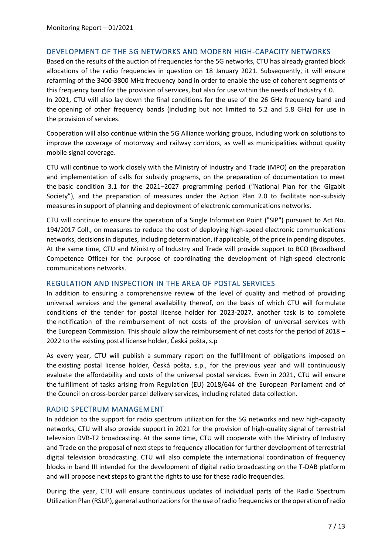#### DEVELOPMENT OF THE 5G NETWORKS AND MODERN HIGH-CAPACITY NETWORKS

Based on the results of the auction of frequencies for the 5G networks, CTU has already granted block allocations of the radio frequencies in question on 18 January 2021. Subsequently, it will ensure refarming of the 3400-3800 MHz frequency band in order to enable the use of coherent segments of this frequency band for the provision of services, but also for use within the needs of Industry 4.0. In 2021, CTU will also lay down the final conditions for the use of the 26 GHz frequency band and the opening of other frequency bands (including but not limited to 5.2 and 5.8 GHz) for use in the provision of services.

Cooperation will also continue within the 5G Alliance working groups, including work on solutions to improve the coverage of motorway and railway corridors, as well as municipalities without quality mobile signal coverage.

CTU will continue to work closely with the Ministry of Industry and Trade (MPO) on the preparation and implementation of calls for subsidy programs, on the preparation of documentation to meet the basic condition 3.1 for the 2021–2027 programming period ("National Plan for the Gigabit Society"), and the preparation of measures under the Action Plan 2.0 to facilitate non-subsidy measures in support of planning and deployment of electronic communications networks.

CTU will continue to ensure the operation of a Single Information Point ("SIP") pursuant to Act No. 194/2017 Coll., on measures to reduce the cost of deploying high-speed electronic communications networks, decisions in disputes, including determination, if applicable, of the price in pending disputes. At the same time, CTU and Ministry of Industry and Trade will provide support to BCO (Broadband Competence Office) for the purpose of coordinating the development of high-speed electronic communications networks.

#### REGULATION AND INSPECTION IN THE AREA OF POSTAL SERVICES

In addition to ensuring a comprehensive review of the level of quality and method of providing universal services and the general availability thereof, on the basis of which CTU will formulate conditions of the tender for postal license holder for 2023-2027, another task is to complete the notification of the reimbursement of net costs of the provision of universal services with the European Commission. This should allow the reimbursement of net costs for the period of 2018 – 2022 to the existing postal license holder, Česká pošta, s.p

As every year, CTU will publish a summary report on the fulfillment of obligations imposed on the existing postal license holder, Česká pošta, s.p., for the previous year and will continuously evaluate the affordability and costs of the universal postal services. Even in 2021, CTU will ensure the fulfillment of tasks arising from Regulation (EU) 2018/644 of the European Parliament and of the Council on cross-border parcel delivery services, including related data collection.

#### RADIO SPECTRUM MANAGEMENT

In addition to the support for radio spectrum utilization for the 5G networks and new high-capacity networks, CTU will also provide support in 2021 for the provision of high-quality signal of terrestrial television DVB-T2 broadcasting. At the same time, CTU will cooperate with the Ministry of Industry and Trade on the proposal of next steps to frequency allocation for further development of terrestrial digital television broadcasting. CTU will also complete the international coordination of frequency blocks in band III intended for the development of digital radio broadcasting on the T-DAB platform and will propose next steps to grant the rights to use for these radio frequencies.

During the year, CTU will ensure continuous updates of individual parts of the Radio Spectrum Utilization Plan (RSUP), general authorizations for the use of radio frequencies or the operation of radio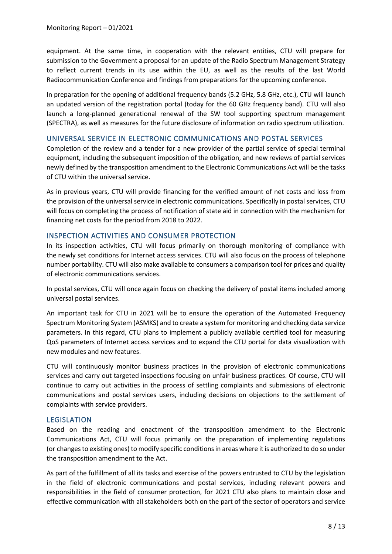equipment. At the same time, in cooperation with the relevant entities, CTU will prepare for submission to the Government a proposal for an update of the Radio Spectrum Management Strategy to reflect current trends in its use within the EU, as well as the results of the last World Radiocommunication Conference and findings from preparations for the upcoming conference.

In preparation for the opening of additional frequency bands (5.2 GHz, 5.8 GHz, etc.), CTU will launch an updated version of the registration portal (today for the 60 GHz frequency band). CTU will also launch a long-planned generational renewal of the SW tool supporting spectrum management (SPECTRA), as well as measures for the future disclosure of information on radio spectrum utilization.

#### UNIVERSAL SERVICE IN ELECTRONIC COMMUNICATIONS AND POSTAL SERVICES

Completion of the review and a tender for a new provider of the partial service of special terminal equipment, including the subsequent imposition of the obligation, and new reviews of partial services newly defined by the transposition amendment to the Electronic Communications Act will be the tasks of CTU within the universal service.

As in previous years, CTU will provide financing for the verified amount of net costs and loss from the provision of the universal service in electronic communications. Specifically in postal services, CTU will focus on completing the process of notification of state aid in connection with the mechanism for financing net costs for the period from 2018 to 2022.

#### INSPECTION ACTIVITIES AND CONSUMER PROTECTION

In its inspection activities, CTU will focus primarily on thorough monitoring of compliance with the newly set conditions for Internet access services. CTU will also focus on the process of telephone number portability. CTU will also make available to consumers a comparison tool for prices and quality of electronic communications services.

In postal services, CTU will once again focus on checking the delivery of postal items included among universal postal services.

An important task for CTU in 2021 will be to ensure the operation of the Automated Frequency Spectrum Monitoring System (ASMKS) and to create a system for monitoring and checking data service parameters. In this regard, CTU plans to implement a publicly available certified tool for measuring QoS parameters of Internet access services and to expand the CTU portal for data visualization with new modules and new features.

CTU will continuously monitor business practices in the provision of electronic communications services and carry out targeted inspections focusing on unfair business practices. Of course, CTU will continue to carry out activities in the process of settling complaints and submissions of electronic communications and postal services users, including decisions on objections to the settlement of complaints with service providers.

#### LEGISLATION

Based on the reading and enactment of the transposition amendment to the Electronic Communications Act, CTU will focus primarily on the preparation of implementing regulations (or changes to existing ones) to modify specific conditions in areas where it is authorized to do so under the transposition amendment to the Act.

As part of the fulfillment of all its tasks and exercise of the powers entrusted to CTU by the legislation in the field of electronic communications and postal services, including relevant powers and responsibilities in the field of consumer protection, for 2021 CTU also plans to maintain close and effective communication with all stakeholders both on the part of the sector of operators and service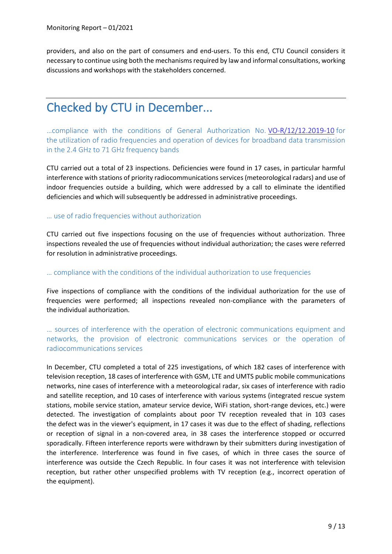providers, and also on the part of consumers and end-users. To this end, CTU Council considers it necessary to continue using both the mechanisms required by law and informal consultations, working discussions and workshops with the stakeholders concerned.

## Checked by CTU in December...

…compliance with the conditions of General Authorization No. [VO-R/12/12.2019-10](https://www.ctu.eu/sites/default/files/obsah/ctu/general-authorisation-no.vo-r/12/12.2019-10/obrazky/vo-r-12-122019-10en.pdf) for the utilization of radio frequencies and operation of devices for broadband data transmission in the 2.4 GHz to 71 GHz frequency bands

CTU carried out a total of 23 inspections. Deficiencies were found in 17 cases, in particular harmful interference with stations of priority radiocommunications services (meteorological radars) and use of indoor frequencies outside a building, which were addressed by a call to eliminate the identified deficiencies and which will subsequently be addressed in administrative proceedings.

#### … use of radio frequencies without authorization

CTU carried out five inspections focusing on the use of frequencies without authorization. Three inspections revealed the use of frequencies without individual authorization; the cases were referred for resolution in administrative proceedings.

#### … compliance with the conditions of the individual authorization to use frequencies

Five inspections of compliance with the conditions of the individual authorization for the use of frequencies were performed; all inspections revealed non-compliance with the parameters of the individual authorization.

… sources of interference with the operation of electronic communications equipment and networks, the provision of electronic communications services or the operation of radiocommunications services

In December, CTU completed a total of 225 investigations, of which 182 cases of interference with television reception, 18 cases of interference with GSM, LTE and UMTS public mobile communications networks, nine cases of interference with a meteorological radar, six cases of interference with radio and satellite reception, and 10 cases of interference with various systems (integrated rescue system stations, mobile service station, amateur service device, WiFi station, short-range devices, etc.) were detected. The investigation of complaints about poor TV reception revealed that in 103 cases the defect was in the viewer's equipment, in 17 cases it was due to the effect of shading, reflections or reception of signal in a non-covered area, in 38 cases the interference stopped or occurred sporadically. Fifteen interference reports were withdrawn by their submitters during investigation of the interference. Interference was found in five cases, of which in three cases the source of interference was outside the Czech Republic. In four cases it was not interference with television reception, but rather other unspecified problems with TV reception (e.g., incorrect operation of the equipment).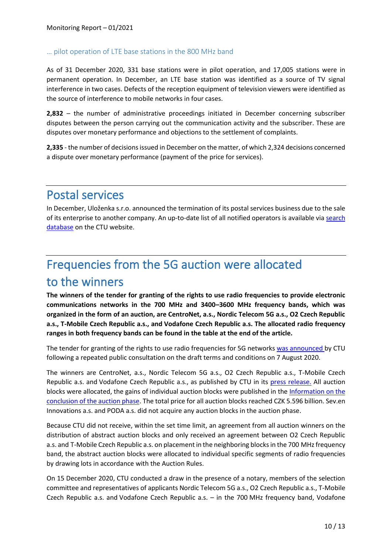#### … pilot operation of LTE base stations in the 800 MHz band

As of 31 December 2020, 331 base stations were in pilot operation, and 17,005 stations were in permanent operation. In December, an LTE base station was identified as a source of TV signal interference in two cases. Defects of the reception equipment of television viewers were identified as the source of interference to mobile networks in four cases.

**2,832** – the number of administrative proceedings initiated in December concerning subscriber disputes between the person carrying out the communication activity and the subscriber. These are disputes over monetary performance and objections to the settlement of complaints.

**2,335** - the number of decisions issued in December on the matter, of which 2,324 decisions concerned a dispute over monetary performance (payment of the price for services).

### Postal services

In December, Uloženka s.r.o. announced the termination of its postal services business due to the sale of its enterprise to another company. An up-to-date list of all notified operators is available via [search](https://www.ctu.eu/vyhledavaci-databaze/evidence-provozovatelu-poskytujicich-nebo-zajistujicich-postovni-sluzby)  [database](https://www.ctu.eu/vyhledavaci-databaze/evidence-provozovatelu-poskytujicich-nebo-zajistujicich-postovni-sluzby) on the CTU website.

# Frequencies from the 5G auction were allocated to the winners

**The winners of the tender for granting of the rights to use radio frequencies to provide electronic communications networks in the 700 MHz and 3400–3600 MHz frequency bands, which was organized in the form of an auction, are CentroNet, a.s., Nordic Telecom 5G a.s., O2 Czech Republic a.s., T-Mobile Czech Republic a.s., and Vodafone Czech Republic a.s. The allocated radio frequency ranges in both frequency bands can be found in the table at the end of the article.**

The tender for granting of the rights to use radio frequencies for 5G networks [was announced](https://www.ctu.eu/tiskova-zprava-cesky-telekomunikacni-urad-vyhlasil-vyberove-rizeni-za-ucelem-prideleni-radiovych) by CTU following a repeated public consultation on the draft terms and conditions on 7 August 2020.

The winners are CentroNet, a.s., Nordic Telecom 5G a.s., O2 Czech Republic a.s., T-Mobile Czech Republic a.s. and Vodafone Czech Republic a.s., as published by CTU in its [press release.](https://www.ctu.eu/press-release-ctu-has-auctioned-frequencies-700-mhz-and-3400-3600-mhz-bands) All auction blocks were allocated, the gains of individual auction blocks were published in the Information on the [conclusion of the auction phase.](https://www.ctu.eu/information-conclusion-and-results-auction-phase-tender-granting-rights-use-radio-frequencies) The total price for all auction blocks reached CZK 5.596 billion. Sev.en Innovations a.s. and PODA a.s. did not acquire any auction blocks in the auction phase.

Because CTU did not receive, within the set time limit, an agreement from all auction winners on the distribution of abstract auction blocks and only received an agreement between O2 Czech Republic a.s. and T-Mobile Czech Republic a.s. on placement in the neighboring blocks in the 700 MHz frequency band, the abstract auction blocks were allocated to individual specific segments of radio frequencies by drawing lots in accordance with the Auction Rules.

On 15 December 2020, CTU conducted a draw in the presence of a notary, members of the selection committee and representatives of applicants Nordic Telecom 5G a.s., O2 Czech Republic a.s., T-Mobile Czech Republic a.s. and Vodafone Czech Republic a.s. – in the 700 MHz frequency band, Vodafone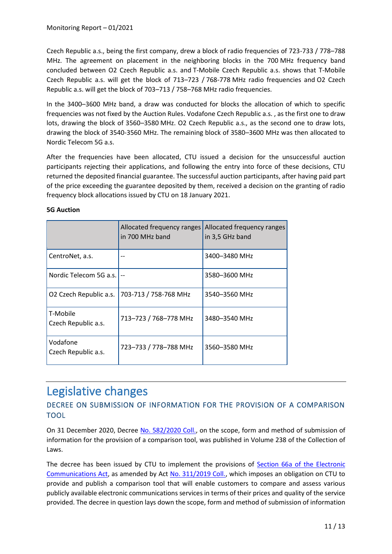Czech Republic a.s., being the first company, drew a block of radio frequencies of 723-733 / 778–788 MHz. The agreement on placement in the neighboring blocks in the 700 MHz frequency band concluded between O2 Czech Republic a.s. and T-Mobile Czech Republic a.s. shows that T-Mobile Czech Republic a.s. will get the block of 713–723 / 768-778 MHz radio frequencies and O2 Czech Republic a.s. will get the block of 703–713 / 758–768 MHz radio frequencies.

In the 3400–3600 MHz band, a draw was conducted for blocks the allocation of which to specific frequencies was not fixed by the Auction Rules. Vodafone Czech Republic a.s. , as the first one to draw lots, drawing the block of 3560–3580 MHz. O2 Czech Republic a.s., as the second one to draw lots, drawing the block of 3540-3560 MHz. The remaining block of 3580–3600 MHz was then allocated to Nordic Telecom 5G a.s.

After the frequencies have been allocated, CTU issued a decision for the unsuccessful auction participants rejecting their applications, and following the entry into force of these decisions, CTU returned the deposited financial guarantee. The successful auction participants, after having paid part of the price exceeding the guarantee deposited by them, received a decision on the granting of radio frequency block allocations issued by CTU on 18 January 2021.

|                                 | Allocated frequency ranges<br>in 700 MHz band | Allocated frequency ranges<br>in 3,5 GHz band |
|---------------------------------|-----------------------------------------------|-----------------------------------------------|
| CentroNet, a.s.                 |                                               | 3400-3480 MHz                                 |
| Nordic Telecom 5G a.s.          |                                               | 3580-3600 MHz                                 |
| O2 Czech Republic a.s.          | 703-713 / 758-768 MHz                         | 3540-3560 MHz                                 |
| T-Mobile<br>Czech Republic a.s. | 713-723 / 768-778 MHz                         | 3480-3540 MHz                                 |
| Vodafone<br>Czech Republic a.s. | 723-733 / 778-788 MHz                         | 3560-3580 MHz                                 |

#### **5G Auction**

### Legislative changes

#### DECREE ON SUBMISSION OF INFORMATION FOR THE PROVISION OF A COMPARISON TOOL

On 31 December 2020, Decree [No. 582/2020 Coll.,](https://www.zakonyprolidi.cz/cs/2020-582) on the scope, form and method of submission of information for the provision of a comparison tool, was published in Volume 238 of the Collection of Laws.

The decree has been issued by CTU to implement the provisions of [Section 66a of the Electronic](https://www.zakonyprolidi.cz/cs/2005-127#p66a)  [Communications Act,](https://www.zakonyprolidi.cz/cs/2005-127#p66a) as amended by Act [No. 311/2019 Coll.,](https://www.zakonyprolidi.cz/cs/2019-311) which imposes an obligation on CTU to provide and publish a comparison tool that will enable customers to compare and assess various publicly available electronic communications services in terms of their prices and quality of the service provided. The decree in question lays down the scope, form and method of submission of information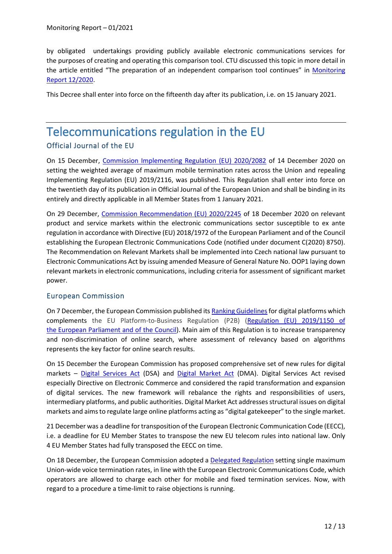by obligated undertakings providing publicly available electronic communications services for the purposes of creating and operating this comparison tool. CTU discussed this topic in more detail in the article entitled "The preparation of an independent comparison tool continues" in [Monitoring](https://www.ctu.eu/sites/default/files/obsah/ctu/monthly-monitoring-report-no.12/2020/obrazky/202012mzenfin.pdf)  [Report 12/2020.](https://www.ctu.eu/sites/default/files/obsah/ctu/monthly-monitoring-report-no.12/2020/obrazky/202012mzenfin.pdf)

This Decree shall enter into force on the fifteenth day after its publication, i.e. on 15 January 2021.

### Telecommunications regulation in the EU Official Journal of the EU

On 15 December, [Commission Implementing Regulation \(EU\) 2020/2082](https://eur-lex.europa.eu/legal-content/EN/TXT/PDF/?uri=CELEX:32020R2082&from=CS) of 14 December 2020 on setting the weighted average of maximum mobile termination rates across the Union and repealing Implementing Regulation (EU) 2019/2116, was published. This Regulation shall enter into force on the twentieth day of its publication in Official Journal of the European Union and shall be binding in its entirely and directly applicable in all Member States from 1 January 2021.

On 29 December, [Commission Recommendation \(EU\) 2020/2245](https://eur-lex.europa.eu/legal-content/EN/TXT/PDF/?uri=CELEX:32020H2245&from=EN) of 18 December 2020 on relevant product and service markets within the electronic communications sector susceptible to ex ante regulation in accordance with Directive (EU) 2018/1972 of the European Parliament and of the Council establishing the European Electronic Communications Code (notified under document C(2020) 8750). The Recommendation on Relevant Markets shall be implemented into Czech national law pursuant to Electronic Communications Act by issuing amended Measure of General Nature No. OOP1 laying down relevant markets in electronic communications, including criteria for assessment of significant market power.

#### European Commission

On 7 December, the European Commission published it[s Ranking Guidelines](https://ec.europa.eu/digital-single-market/en/news/european-commission-publishes-ranking-guidelines-under-p2b-regulation-increase-transparency)for digital platforms which complements the EU Platform-to-Business Regulation (P2B) [\(Regulation \(EU\) 2019/1150 of](https://eur-lex.europa.eu/legal-content/EN/TXT/PDF/?uri=CELEX:32019R1150&from=CS)  the [European Parliament and of the Council\)](https://eur-lex.europa.eu/legal-content/EN/TXT/PDF/?uri=CELEX:32019R1150&from=CS). Main aim of this Regulation is to increase transparency and non-discrimination of online search, where assessment of relevancy based on algorithms represents the key factor for online search results.

On 15 December the European Commission has proposed comprehensive set of new rules for digital markets – [Digital Services Act](https://ec.europa.eu/info/sites/info/files/proposal_for_a_regulation_on_a_single_market_for_digital_services.pdf) (DSA) and [Digital Market Act](https://ec.europa.eu/info/sites/info/files/proposal-regulation-single-market-digital-services-digital-services-act_en.pdf) (DMA). Digital Services Act revised especially Directive on Electronic Commerce and considered the rapid transformation and expansion of digital services. The new framework will rebalance the rights and responsibilities of users, intermediary platforms, and public authorities. Digital Market Act addresses structural issues on digital markets and aims to regulate large online platforms acting as "digital gatekeeper" to the single market.

21 December was a deadline for transposition of the European Electronic Communication Code (EECC), i.e. a deadline for EU Member States to transpose the new EU telecom rules into national law. Only 4 EU Member States had fully transposed the EECC on time.

On 18 December, the European Commission adopted a [Delegated Regulation](https://ec.europa.eu/digital-single-market/en/news/commission-adopted-delegated-regulation-eu-wide-voice-call-termination-rates) setting single maximum Union-wide voice termination rates, in line with the European Electronic Communications Code, which operators are allowed to charge each other for mobile and fixed termination services. Now, with regard to a procedure a time-limit to raise objections is running.